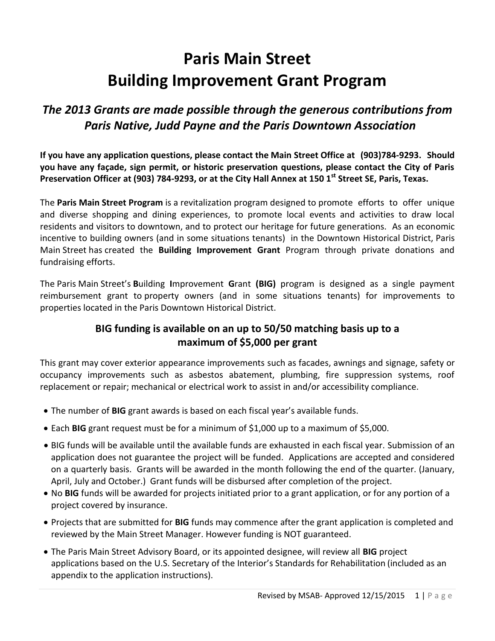## **Paris Main Street Building Improvement Grant Program**

### *The 2013 Grants are made possible through the generous contributions from Paris Native, Judd Payne and the Paris Downtown Association*

**If you have any application questions, please contact the Main Street Office at (903)784-9293. Should you have any façade, sign permit, or historic preservation questions, please contact the City of Paris Preservation Officer at (903) 784-9293, or at the City Hall Annex at 150 1 st Street SE, Paris, Texas.**

The **Paris Main Street Program** is a revitalization program designed to promote efforts to offer unique and diverse shopping and dining experiences, to promote local events and activities to draw local residents and visitors to downtown, and to protect our heritage for future generations. As an economic incentive to building owners (and in some situations tenants) in the Downtown Historical District, Paris Main Street has created the **Building Improvement Grant** Program through private donations and fundraising efforts.

The Paris Main Street's **B**uilding **I**mprovement **G**rant **(BIG)** program is designed as a single payment reimbursement grant to property owners (and in some situations tenants) for improvements to properties located in the Paris Downtown Historical District.

#### **BIG funding is available on an up to 50/50 matching basis up to a maximum of \$5,000 per grant**

This grant may cover exterior appearance improvements such as facades, awnings and signage, safety or occupancy improvements such as asbestos abatement, plumbing, fire suppression systems, roof replacement or repair; mechanical or electrical work to assist in and/or accessibility compliance.

- The number of **BIG** grant awards is based on each fiscal year's available funds.
- Each **BIG** grant request must be for a minimum of \$1,000 up to a maximum of \$5,000.
- BIG funds will be available until the available funds are exhausted in each fiscal year. Submission of an application does not guarantee the project will be funded. Applications are accepted and considered on a quarterly basis. Grants will be awarded in the month following the end of the quarter. (January, April, July and October.) Grant funds will be disbursed after completion of the project.
- No **BIG** funds will be awarded for projects initiated prior to a grant application, or for any portion of a project covered by insurance.
- Projects that are submitted for **BIG** funds may commence after the grant application is completed and reviewed by the Main Street Manager. However funding is NOT guaranteed.
- The Paris Main Street Advisory Board, or its appointed designee, will review all **BIG** project applications based on the U.S. Secretary of the Interior's Standards for Rehabilitation (included as an appendix to the application instructions).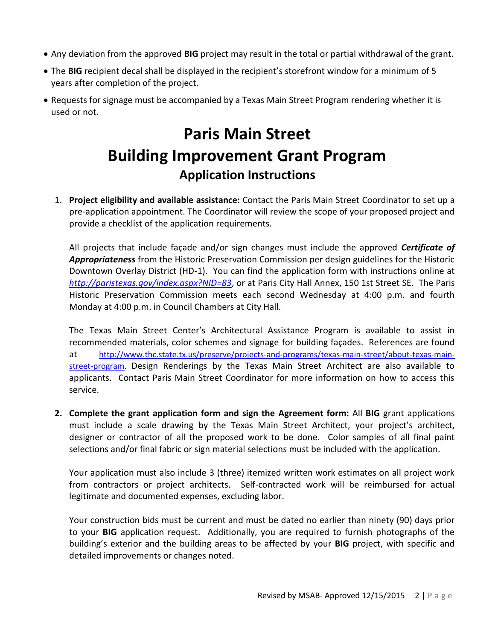- Any deviation from the approved **BIG** project may result in the total or partial withdrawal of the grant.
- The **BIG** recipient decal shall be displayed in the recipient's storefront window for a minimum of 5 years after completion of the project.
- Requests for signage must be accompanied by a Texas Main Street Program rendering whether it is used or not.

## **Paris Main Street Building Improvement Grant Program Application Instructions**

1. **Project eligibility and available assistance:** Contact the Paris Main Street Coordinator to set up a pre-application appointment. The Coordinator will review the scope of your proposed project and provide a checklist of the application requirements.

All projects that include façade and/or sign changes must include the approved *Certificate of Appropriateness* from the Historic Preservation Commission per design guidelines for the Historic Downtown Overlay District (HD-1). You can find the application form with instructions online at *<http://paristexas.gov/index.aspx?NID=83>*, or at Paris City Hall Annex, 150 1st Street SE. The Paris Historic Preservation Commission meets each second Wednesday at 4:00 p.m. and fourth Monday at 4:00 p.m. in Council Chambers at City Hall.

The Texas Main Street Center's Architectural Assistance Program is available to assist in recommended materials, color schemes and signage for building façades. References are found at [http://www.thc.state.tx.us/preserve/projects-and-programs/texas-main-street/about-texas-main](http://www.thc.state.tx.us/preserve/projects-and-programs/texas-main-street/about-texas-main-street-program)[street-program.](http://www.thc.state.tx.us/preserve/projects-and-programs/texas-main-street/about-texas-main-street-program) Design Renderings by the Texas Main Street Architect are also available to applicants. Contact Paris Main Street Coordinator for more information on how to access this service.

**2. Complete the grant application form and sign the Agreement form:** All **BIG** grant applications must include a scale drawing by the Texas Main Street Architect, your project's architect, designer or contractor of all the proposed work to be done. Color samples of all final paint selections and/or final fabric or sign material selections must be included with the application.

Your application must also include 3 (three) itemized written work estimates on all project work from contractors or project architects. Self-contracted work will be reimbursed for actual legitimate and documented expenses, excluding labor.

Your construction bids must be current and must be dated no earlier than ninety (90) days prior to your **BIG** application request. Additionally, you are required to furnish photographs of the building's exterior and the building areas to be affected by your **BIG** project, with specific and detailed improvements or changes noted.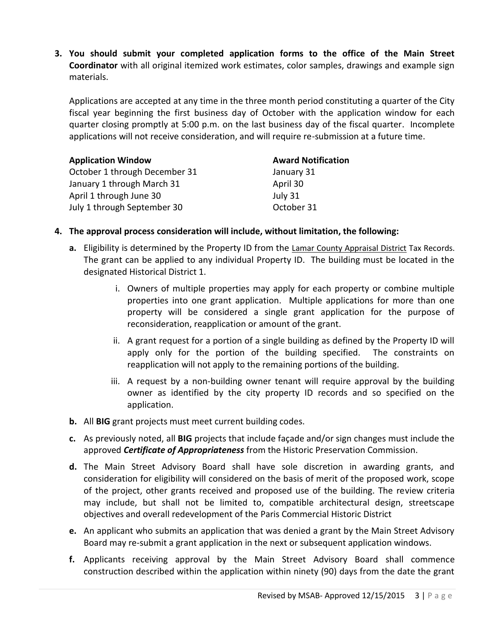**3. You should submit your completed application forms to the office of the Main Street Coordinator** with all original itemized work estimates, color samples, drawings and example sign materials.

Applications are accepted at any time in the three month period constituting a quarter of the City fiscal year beginning the first business day of October with the application window for each quarter closing promptly at 5:00 p.m. on the last business day of the fiscal quarter. Incomplete applications will not receive consideration, and will require re-submission at a future time.

| <b>Application Window</b>     | <b>Award Notification</b> |
|-------------------------------|---------------------------|
| October 1 through December 31 | January 31                |
| January 1 through March 31    | April 30                  |
| April 1 through June 30       | July 31                   |
| July 1 through September 30   | October 31                |

#### **4. The approval process consideration will include, without limitation, the following:**

- **a.** Eligibility is determined by the Property ID from the Lamar County Appraisal District Tax Records. The grant can be applied to any individual Property ID. The building must be located in the designated Historical District 1.
	- i. Owners of multiple properties may apply for each property or combine multiple properties into one grant application. Multiple applications for more than one property will be considered a single grant application for the purpose of reconsideration, reapplication or amount of the grant.
	- ii. A grant request for a portion of a single building as defined by the Property ID will apply only for the portion of the building specified. The constraints on reapplication will not apply to the remaining portions of the building.
	- iii. A request by a non-building owner tenant will require approval by the building owner as identified by the city property ID records and so specified on the application.
- **b.** All **BIG** grant projects must meet current building codes.
- **c.** As previously noted, all **BIG** projects that include façade and/or sign changes must include the approved *Certificate of Appropriateness* from the Historic Preservation Commission.
- **d.** The Main Street Advisory Board shall have sole discretion in awarding grants, and consideration for eligibility will considered on the basis of merit of the proposed work, scope of the project, other grants received and proposed use of the building. The review criteria may include, but shall not be limited to, compatible architectural design, streetscape objectives and overall redevelopment of the Paris Commercial Historic District
- **e.** An applicant who submits an application that was denied a grant by the Main Street Advisory Board may re-submit a grant application in the next or subsequent application windows.
- **f.** Applicants receiving approval by the Main Street Advisory Board shall commence construction described within the application within ninety (90) days from the date the grant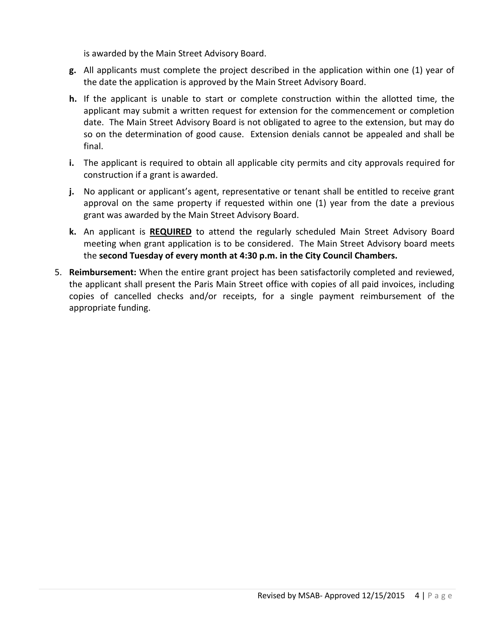is awarded by the Main Street Advisory Board.

- **g.** All applicants must complete the project described in the application within one (1) year of the date the application is approved by the Main Street Advisory Board.
- **h.** If the applicant is unable to start or complete construction within the allotted time, the applicant may submit a written request for extension for the commencement or completion date. The Main Street Advisory Board is not obligated to agree to the extension, but may do so on the determination of good cause. Extension denials cannot be appealed and shall be final.
- **i.** The applicant is required to obtain all applicable city permits and city approvals required for construction if a grant is awarded.
- **j.** No applicant or applicant's agent, representative or tenant shall be entitled to receive grant approval on the same property if requested within one (1) year from the date a previous grant was awarded by the Main Street Advisory Board.
- **k.** An applicant is **REQUIRED** to attend the regularly scheduled Main Street Advisory Board meeting when grant application is to be considered. The Main Street Advisory board meets the **second Tuesday of every month at 4:30 p.m. in the City Council Chambers.**
- 5. **Reimbursement:** When the entire grant project has been satisfactorily completed and reviewed, the applicant shall present the Paris Main Street office with copies of all paid invoices, including copies of cancelled checks and/or receipts, for a single payment reimbursement of the appropriate funding.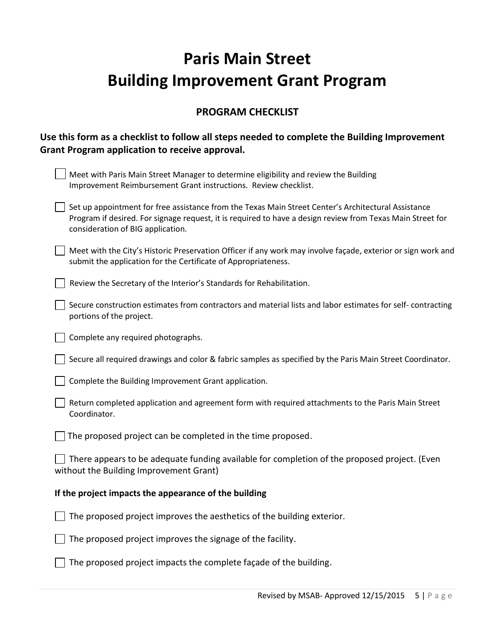# **Paris Main Street Building Improvement Grant Program**

#### **PROGRAM CHECKLIST**

#### **Use this form as a checklist to follow all steps needed to complete the Building Improvement Grant Program application to receive approval.**

| Meet with Paris Main Street Manager to determine eligibility and review the Building<br>Improvement Reimbursement Grant instructions. Review checklist.                                                                                                |  |  |  |
|--------------------------------------------------------------------------------------------------------------------------------------------------------------------------------------------------------------------------------------------------------|--|--|--|
| Set up appointment for free assistance from the Texas Main Street Center's Architectural Assistance<br>Program if desired. For signage request, it is required to have a design review from Texas Main Street for<br>consideration of BIG application. |  |  |  |
| Meet with the City's Historic Preservation Officer if any work may involve façade, exterior or sign work and<br>submit the application for the Certificate of Appropriateness.                                                                         |  |  |  |
| Review the Secretary of the Interior's Standards for Rehabilitation.                                                                                                                                                                                   |  |  |  |
| Secure construction estimates from contractors and material lists and labor estimates for self-contracting<br>portions of the project.                                                                                                                 |  |  |  |
| Complete any required photographs.                                                                                                                                                                                                                     |  |  |  |
| Secure all required drawings and color & fabric samples as specified by the Paris Main Street Coordinator.                                                                                                                                             |  |  |  |
| Complete the Building Improvement Grant application.                                                                                                                                                                                                   |  |  |  |
| Return completed application and agreement form with required attachments to the Paris Main Street<br>Coordinator.                                                                                                                                     |  |  |  |
| The proposed project can be completed in the time proposed.                                                                                                                                                                                            |  |  |  |
| There appears to be adequate funding available for completion of the proposed project. (Even<br>without the Building Improvement Grant)                                                                                                                |  |  |  |
| If the project impacts the appearance of the building                                                                                                                                                                                                  |  |  |  |
| The proposed project improves the aesthetics of the building exterior.                                                                                                                                                                                 |  |  |  |
| The proposed project improves the signage of the facility.                                                                                                                                                                                             |  |  |  |
| The proposed project impacts the complete façade of the building.                                                                                                                                                                                      |  |  |  |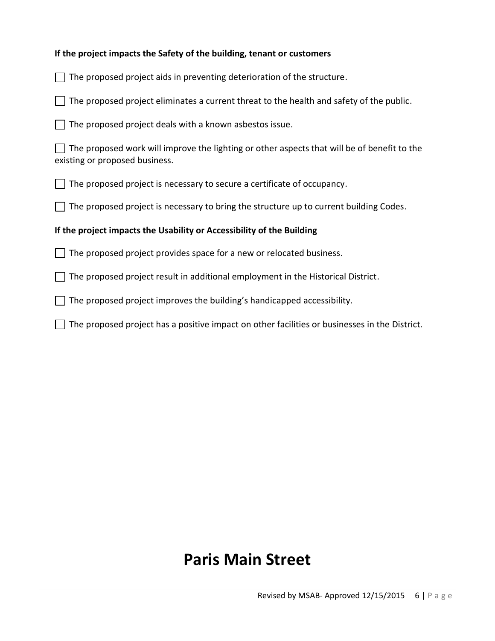#### **If the project impacts the Safety of the building, tenant or customers**

| The proposed project aids in preventing deterioration of the structure.                                                       |  |  |  |  |
|-------------------------------------------------------------------------------------------------------------------------------|--|--|--|--|
| The proposed project eliminates a current threat to the health and safety of the public.                                      |  |  |  |  |
| The proposed project deals with a known asbestos issue.                                                                       |  |  |  |  |
| The proposed work will improve the lighting or other aspects that will be of benefit to the<br>existing or proposed business. |  |  |  |  |
| The proposed project is necessary to secure a certificate of occupancy.                                                       |  |  |  |  |
| The proposed project is necessary to bring the structure up to current building Codes.                                        |  |  |  |  |
| If the project impacts the Usability or Accessibility of the Building                                                         |  |  |  |  |
| The proposed project provides space for a new or relocated business.                                                          |  |  |  |  |
| The proposed project result in additional employment in the Historical District.                                              |  |  |  |  |
| The proposed project improves the building's handicapped accessibility.                                                       |  |  |  |  |
| The proposed project has a positive impact on other facilities or businesses in the District.                                 |  |  |  |  |

## **Paris Main Street**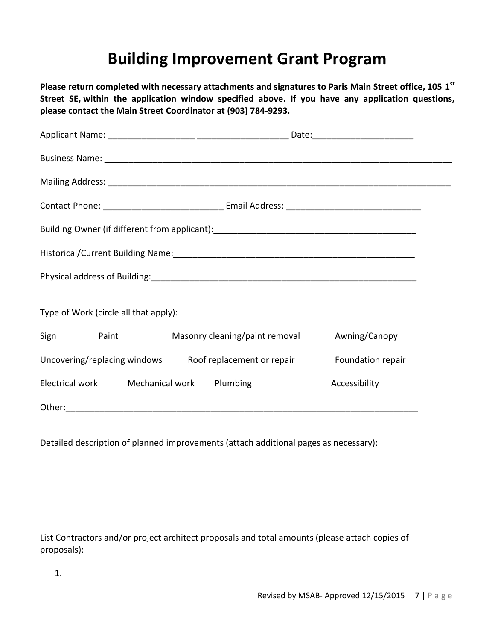## **Building Improvement Grant Program**

**Please return completed with necessary attachments and signatures to Paris Main Street office, 105 1st Street SE, within the application window specified above. If you have any application questions, please contact the Main Street Coordinator at (903) 784-9293.**

| Business Name: 2008 and 2008 and 2008 and 2008 and 2008 and 2008 and 2008 and 2008 and 2008 and 2008 and 2008  |                                |                   |  |  |
|----------------------------------------------------------------------------------------------------------------|--------------------------------|-------------------|--|--|
|                                                                                                                |                                |                   |  |  |
|                                                                                                                |                                |                   |  |  |
|                                                                                                                |                                |                   |  |  |
| Historical/Current Building Name: 1997 - 2008 - 2010 - 2010 - 2010 - 2010 - 2010 - 2010 - 2010 - 2010 - 2010 - |                                |                   |  |  |
|                                                                                                                |                                |                   |  |  |
| Type of Work (circle all that apply):                                                                          |                                |                   |  |  |
| Sign Paint                                                                                                     | Masonry cleaning/paint removal | Awning/Canopy     |  |  |
| Uncovering/replacing windows Roof replacement or repair                                                        |                                | Foundation repair |  |  |
| Electrical work Mechanical work Plumbing                                                                       |                                | Accessibility     |  |  |
|                                                                                                                |                                |                   |  |  |

Detailed description of planned improvements (attach additional pages as necessary):

List Contractors and/or project architect proposals and total amounts (please attach copies of proposals):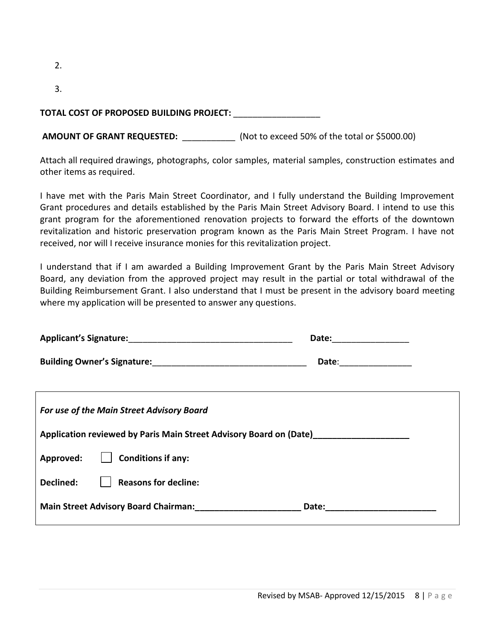| TOTAL COST OF PROPOSED BUILDING PROJECT: |  |
|------------------------------------------|--|

**AMOUNT OF GRANT REQUESTED:** \_\_\_\_\_\_\_\_\_\_\_ (Not to exceed 50% of the total or \$5000.00)

Attach all required drawings, photographs, color samples, material samples, construction estimates and other items as required.

I have met with the Paris Main Street Coordinator, and I fully understand the Building Improvement Grant procedures and details established by the Paris Main Street Advisory Board. I intend to use this grant program for the aforementioned renovation projects to forward the efforts of the downtown revitalization and historic preservation program known as the Paris Main Street Program. I have not received, nor will I receive insurance monies for this revitalization project.

I understand that if I am awarded a Building Improvement Grant by the Paris Main Street Advisory Board, any deviation from the approved project may result in the partial or total withdrawal of the Building Reimbursement Grant. I also understand that I must be present in the advisory board meeting where my application will be presented to answer any questions.

| Applicant's Signature: Management of Applicant's Signature:        | Date: |  |  |  |  |
|--------------------------------------------------------------------|-------|--|--|--|--|
|                                                                    | Date: |  |  |  |  |
| For use of the Main Street Advisory Board                          |       |  |  |  |  |
| Application reviewed by Paris Main Street Advisory Board on (Date) |       |  |  |  |  |
| <b>Conditions if any:</b><br>Approved:                             |       |  |  |  |  |
| Declined:<br><b>Reasons for decline:</b>                           |       |  |  |  |  |
| <b>Main Street Advisory Board Chairman:</b><br>Date:               |       |  |  |  |  |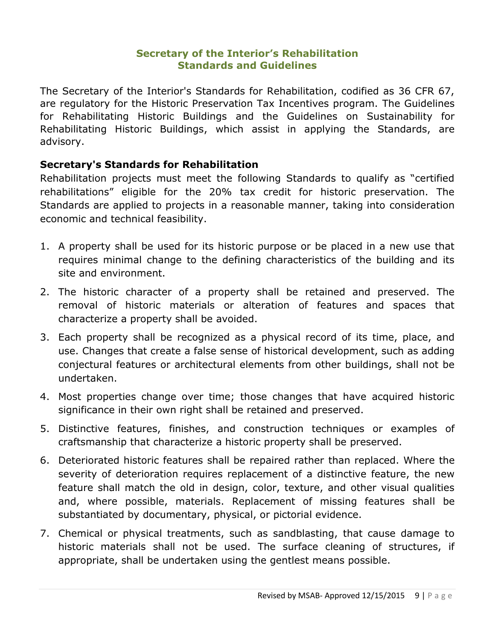#### **Secretary of the Interior's Rehabilitation Standards and Guidelines**

The Secretary of the Interior's Standards for Rehabilitation, codified as 36 CFR 67, are regulatory for the [Historic Preservation Tax Incentives program.](http://www.nps.gov/tps/tax-incentives.htm) The [Guidelines](http://www.nps.gov/tps/standards/rehabilitation.htm#Guidelines)  [for Rehabilitating Historic Buildings](http://www.nps.gov/tps/standards/rehabilitation.htm#Guidelines) and the [Guidelines on Sustainability for](http://www.nps.gov/tps/standards/rehabilitation.htm#Guidelines)  [Rehabilitating Historic Buildings,](http://www.nps.gov/tps/standards/rehabilitation.htm#Guidelines) which assist in applying the Standards, are advisory.

#### **Secretary's Standards for Rehabilitation**

Rehabilitation projects must meet the following Standards to qualify as "certified rehabilitations" eligible for the 20% tax credit for historic preservation. The Standards are applied to projects in a reasonable manner, taking into consideration economic and technical feasibility.

- 1. A property shall be used for its historic purpose or be placed in a new use that requires minimal change to the defining characteristics of the building and its site and environment.
- 2. The historic character of a property shall be retained and preserved. The removal of historic materials or alteration of features and spaces that characterize a property shall be avoided.
- 3. Each property shall be recognized as a physical record of its time, place, and use. Changes that create a false sense of historical development, such as adding conjectural features or architectural elements from other buildings, shall not be undertaken.
- 4. Most properties change over time; those changes that have acquired historic significance in their own right shall be retained and preserved.
- 5. Distinctive features, finishes, and construction techniques or examples of craftsmanship that characterize a historic property shall be preserved.
- 6. Deteriorated historic features shall be repaired rather than replaced. Where the severity of deterioration requires replacement of a distinctive feature, the new feature shall match the old in design, color, texture, and other visual qualities and, where possible, materials. Replacement of missing features shall be substantiated by documentary, physical, or pictorial evidence.
- 7. Chemical or physical treatments, such as sandblasting, that cause damage to historic materials shall not be used. The surface cleaning of structures, if appropriate, shall be undertaken using the gentlest means possible.